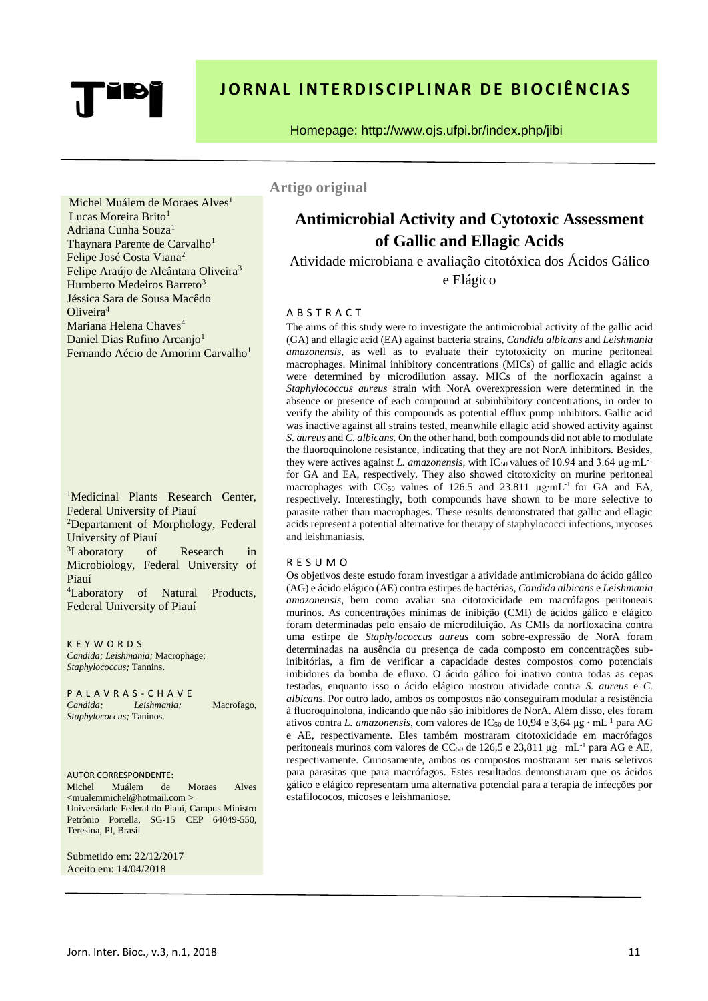# **JORNAL INTERDISCIPLINAR DE BIOCIÊNCIAS**

Homepage: http://www.ojs.ufpi.br/index.php/jibi

Michel Muálem de Moraes Alves<sup>1</sup> Lucas Moreira Brito<sup>1</sup> Adriana Cunha Souza<sup>1</sup> Thaynara Parente de Carvalho<sup>1</sup> Felipe José Costa Viana<sup>2</sup> Felipe Araújo de Alcântara Oliveira<sup>3</sup> Humberto Medeiros Barreto<sup>3</sup> Jéssica Sara de Sousa Macêdo Oliveira<sup>4</sup> Mariana Helena Chaves<sup>4</sup> Daniel Dias Rufino Arcanjo<sup>1</sup> Fernando Aécio de Amorim Carvalho<sup>1</sup>

<sup>1</sup>Medicinal Plants Research Center, Federal University of Piauí <sup>2</sup>Departament of Morphology, Federal University of Piauí <sup>3</sup>Laboratory of Research in Microbiology, Federal University of Piauí <sup>4</sup>Laboratory of Natural Products, Federal University of Piauí

K E Y W O R D S *Candida; Leishmania;* Macrophage; *Staphylococcus;* Tannins.

P A L A V R A S - C H A V E *Candida; Leishmania;* Macrofago, *Staphylococcus;* Taninos.

AUTOR CORRESPONDENTE: Michel Muálem de Moraes Alves <mualemmichel@hotmail.com > Universidade Federal do Piauí, Campus Ministro Petrônio Portella, SG-15 CEP 64049-550, Teresina, PI, Brasil

Submetido em: 22/12/2017 Aceito em: 14/04/2018

**Artigo original**

# **Antimicrobial Activity and Cytotoxic Assessment of Gallic and Ellagic Acids**

Atividade microbiana e avaliação citotóxica dos Ácidos Gálico e Elágico

## A B S T R A C T

The aims of this study were to investigate the antimicrobial activity of the gallic acid (GA) and ellagic acid (EA) against bacteria strains, *Candida albicans* and *Leishmania amazonensis*, as well as to evaluate their cytotoxicity on murine peritoneal macrophages. Minimal inhibitory concentrations (MICs) of gallic and ellagic acids were determined by microdilution assay. MICs of the norfloxacin against a *Staphylococcus aureus* strain with NorA overexpression were determined in the absence or presence of each compound at subinhibitory concentrations, in order to verify the ability of this compounds as potential efflux pump inhibitors. Gallic acid was inactive against all strains tested, meanwhile ellagic acid showed activity against *S. aureus* and *C. albicans.* On the other hand, both compounds did not able to modulate the fluoroquinolone resistance, indicating that they are not NorA inhibitors. Besides, they were actives against *L. amazonensis*, with IC<sub>50</sub> values of 10.94 and 3.64 μg⋅mL<sup>-1</sup> for GA and EA, respectively. They also showed citotoxicity on murine peritoneal macrophages with  $CC_{50}$  values of 126.5 and 23.811 µg⋅mL<sup>-1</sup> for GA and EA, respectively. Interestingly, both compounds have shown to be more selective to parasite rather than macrophages. These results demonstrated that gallic and ellagic acids represent a potential alternative for therapy of staphylococci infections, mycoses and leishmaniasis.

#### R E S U M O

Os objetivos deste estudo foram investigar a atividade antimicrobiana do ácido gálico (AG) e ácido elágico (AE) contra estirpes de bactérias, *Candida albicans* e *Leishmania amazonensis*, bem como avaliar sua citotoxicidade em macrófagos peritoneais murinos. As concentrações mínimas de inibição (CMI) de ácidos gálico e elágico foram determinadas pelo ensaio de microdiluição. As CMIs da norfloxacina contra uma estirpe de *Staphylococcus aureus* com sobre-expressão de NorA foram determinadas na ausência ou presença de cada composto em concentrações subinibitórias, a fim de verificar a capacidade destes compostos como potenciais inibidores da bomba de efluxo. O ácido gálico foi inativo contra todas as cepas testadas, enquanto isso o ácido elágico mostrou atividade contra *S. aureus* e *C. albicans*. Por outro lado, ambos os compostos não conseguiram modular a resistência à fluoroquinolona, indicando que não são inibidores de NorA. Além disso, eles foram ativos contra *L. amazonensis*, com valores de IC<sup>50</sup> de 10,94 e 3,64 μg ∙ mL-1 para AG e AE, respectivamente. Eles também mostraram citotoxicidade em macrófagos peritoneais murinos com valores de CC<sup>50</sup> de 126,5 e 23,811 μg ∙ mL-1 para AG e AE, respectivamente. Curiosamente, ambos os compostos mostraram ser mais seletivos para parasitas que para macrófagos. Estes resultados demonstraram que os ácidos gálico e elágico representam uma alternativa potencial para a terapia de infecções por estafilococos, micoses e leishmaniose.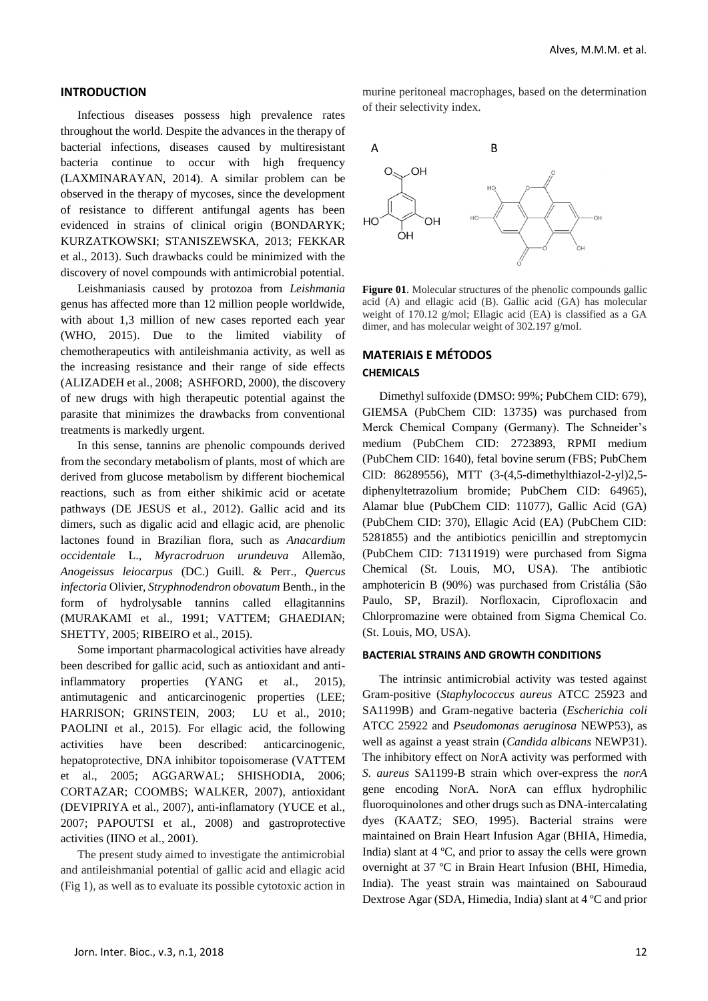#### **INTRODUCTION**

Infectious diseases possess high prevalence rates throughout the world. Despite the advances in the therapy of bacterial infections, diseases caused by multiresistant bacteria continue to occur with high frequency (LAXMINARAYAN, 2014). A similar problem can be observed in the therapy of mycoses, since the development of resistance to different antifungal agents has been evidenced in strains of clinical origin (BONDARYK; KURZATKOWSKI; STANISZEWSKA, 2013; FEKKAR et al., 2013). Such drawbacks could be minimized with the discovery of novel compounds with antimicrobial potential.

Leishmaniasis caused by protozoa from *Leishmania* genus has affected more than 12 million people worldwide, with about 1,3 million of new cases reported each year (WHO, 2015). Due to the limited viability of chemotherapeutics with antileishmania activity, as well as the increasing resistance and their range of side effects (ALIZADEH et al., 2008; ASHFORD, 2000), the discovery of new drugs with high therapeutic potential against the parasite that minimizes the drawbacks from conventional treatments is markedly urgent.

In this sense, tannins are phenolic compounds derived from the secondary metabolism of plants, most of which are derived from glucose metabolism by different biochemical reactions, such as from either shikimic acid or acetate pathways (DE JESUS et al., 2012). Gallic acid and its dimers, such as digalic acid and ellagic acid, are phenolic lactones found in Brazilian flora, such as *Anacardium occidentale* L., *Myracrodruon urundeuva* Allemão, *Anogeissus leiocarpus* (DC.) Guill. & Perr., *Quercus infectoria* Olivier, *Stryphnodendron obovatum* Benth., in the form of hydrolysable tannins called ellagitannins (MURAKAMI et al., 1991; VATTEM; GHAEDIAN; SHETTY, 2005; RIBEIRO et al., 2015).

Some important pharmacological activities have already been described for gallic acid, such as antioxidant and antiinflammatory properties (YANG et al., 2015), antimutagenic and anticarcinogenic properties (LEE; HARRISON; GRINSTEIN, 2003; LU et al., 2010; PAOLINI et al., 2015). For ellagic acid, the following activities have been described: anticarcinogenic, hepatoprotective, DNA inhibitor topoisomerase (VATTEM et al., 2005; AGGARWAL; SHISHODIA, 2006; CORTAZAR; COOMBS; WALKER, 2007), antioxidant (DEVIPRIYA et al., 2007), anti-inflamatory (YUCE et al., 2007; PAPOUTSI et al., 2008) and gastroprotective activities (IINO et al., 2001).

The present study aimed to investigate the antimicrobial and antileishmanial potential of gallic acid and ellagic acid (Fig 1), as well as to evaluate its possible cytotoxic action in

murine peritoneal macrophages, based on the determination of their selectivity index.



**Figure 01**. Molecular structures of the phenolic compounds gallic acid (A) and ellagic acid (B). Gallic acid (GA) has molecular weight of 170.12 g/mol; Ellagic acid (EA) is classified as a GA dimer, and has molecular weight of 302.197 g/mol.

## **MATERIAIS E MÉTODOS CHEMICALS**

Dimethyl sulfoxide (DMSO: 99%; PubChem CID: 679), GIEMSA (PubChem CID: 13735) was purchased from Merck Chemical Company (Germany). The Schneider's medium (PubChem CID: 2723893, RPMI medium (PubChem CID: 1640), fetal bovine serum (FBS; PubChem CID: 86289556), MTT (3-(4,5-dimethylthiazol-2-yl)2,5 diphenyltetrazolium bromide; PubChem CID: 64965), Alamar blue (PubChem CID: 11077), Gallic Acid (GA) (PubChem CID: 370), Ellagic Acid (EA) (PubChem CID: 5281855) and the antibiotics penicillin and streptomycin (PubChem CID: 71311919) were purchased from Sigma Chemical (St. Louis, MO, USA). The antibiotic amphotericin B (90%) was purchased from Cristália (São Paulo, SP, Brazil). Norfloxacin, Ciprofloxacin and Chlorpromazine were obtained from Sigma Chemical Co. (St. Louis, MO, USA).

#### **BACTERIAL STRAINS AND GROWTH CONDITIONS**

The intrinsic antimicrobial activity was tested against Gram-positive (*Staphylococcus aureus* ATCC 25923 and SA1199B) and Gram-negative bacteria (*Escherichia coli*  ATCC 25922 and *Pseudomonas aeruginosa* NEWP53), as well as against a yeast strain (*Candida albicans* NEWP31). The inhibitory effect on NorA activity was performed with *S. aureus* SA1199-B strain which over-express the *norA* gene encoding NorA. NorA can efflux hydrophilic fluoroquinolones and other drugs such as DNA-intercalating dyes (KAATZ; SEO, 1995). Bacterial strains were maintained on Brain Heart Infusion Agar (BHIA, Himedia, India) slant at 4 ºC, and prior to assay the cells were grown overnight at 37 ºC in Brain Heart Infusion (BHI, Himedia, India). The yeast strain was maintained on Sabouraud Dextrose Agar (SDA, Himedia, India) slant at 4 ºC and prior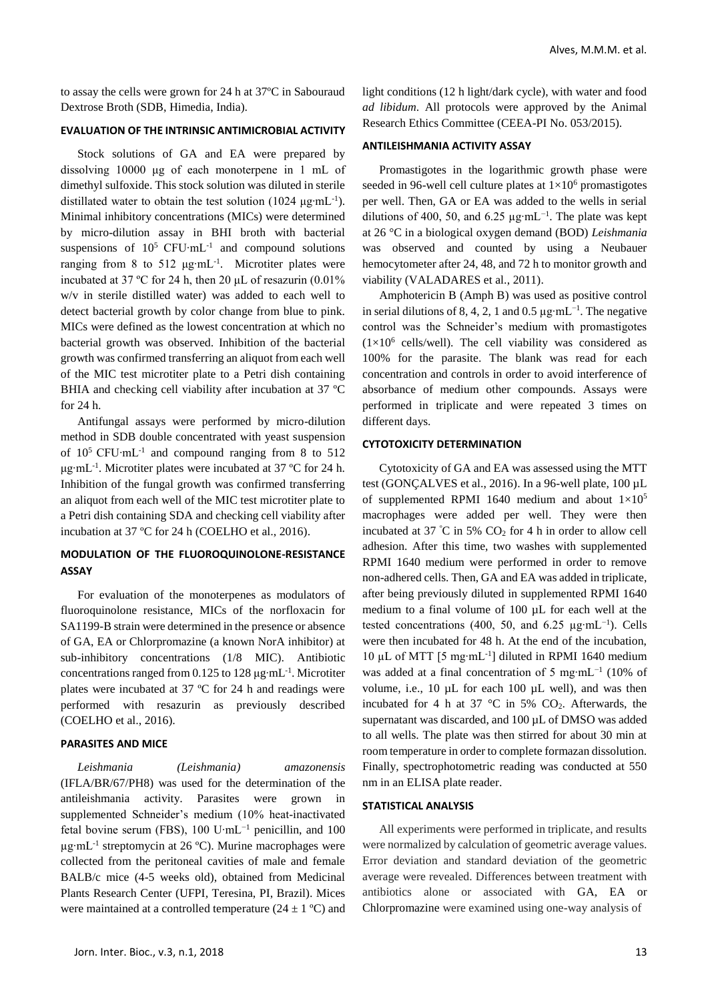to assay the cells were grown for 24 h at 37ºC in Sabouraud Dextrose Broth (SDB, Himedia, India).

## **EVALUATION OF THE INTRINSIC ANTIMICROBIAL ACTIVITY**

Stock solutions of GA and EA were prepared by dissolving 10000 μg of each monoterpene in 1 mL of dimethyl sulfoxide. This stock solution was diluted in sterile distillated water to obtain the test solution  $(1024 \mu g \cdot mL^{-1})$ . Minimal inhibitory concentrations (MICs) were determined by micro-dilution assay in BHI broth with bacterial suspensions of  $10^5$  CFU⋅mL<sup>-1</sup> and compound solutions ranging from 8 to 512 μg∙mL-1 . Microtiter plates were incubated at 37 ºC for 24 h, then 20 μL of resazurin (0.01% w/v in sterile distilled water) was added to each well to detect bacterial growth by color change from blue to pink. MICs were defined as the lowest concentration at which no bacterial growth was observed. Inhibition of the bacterial growth was confirmed transferring an aliquot from each well of the MIC test microtiter plate to a Petri dish containing BHIA and checking cell viability after incubation at 37 ºC for 24 h.

Antifungal assays were performed by micro-dilution method in SDB double concentrated with yeast suspension of  $10^5$  CFU⋅mL<sup>-1</sup> and compound ranging from 8 to 512 μg∙mL-1 . Microtiter plates were incubated at 37 ºC for 24 h. Inhibition of the fungal growth was confirmed transferring an aliquot from each well of the MIC test microtiter plate to a Petri dish containing SDA and checking cell viability after incubation at 37 ºC for 24 h (COELHO et al., 2016).

## **MODULATION OF THE FLUOROQUINOLONE-RESISTANCE ASSAY**

For evaluation of the monoterpenes as modulators of fluoroquinolone resistance, MICs of the norfloxacin for SA1199-B strain were determined in the presence or absence of GA, EA or Chlorpromazine (a known NorA inhibitor) at sub-inhibitory concentrations (1/8 MIC). Antibiotic concentrations ranged from 0.125 to 128  $\mu$ g⋅mL<sup>-1</sup>. Microtiter plates were incubated at 37 ºC for 24 h and readings were performed with resazurin as previously described (COELHO et al., 2016).

#### **PARASITES AND MICE**

*Leishmania (Leishmania) amazonensis*  (IFLA/BR/67/PH8) was used for the determination of the antileishmania activity. Parasites were grown in supplemented Schneider's medium (10% heat-inactivated fetal bovine serum (FBS), 100 U⋅mL<sup>-1</sup> penicillin, and 100 µg⋅mL<sup>-1</sup> streptomycin at 26 °C). Murine macrophages were collected from the peritoneal cavities of male and female BALB/c mice (4-5 weeks old), obtained from Medicinal Plants Research Center (UFPI, Teresina, PI, Brazil). Mices were maintained at a controlled temperature  $(24 \pm 1 \degree C)$  and

light conditions (12 h light/dark cycle), with water and food *ad libidum*. All protocols were approved by the Animal Research Ethics Committee (CEEA-PI No. 053/2015).

#### **ANTILEISHMANIA ACTIVITY ASSAY**

Promastigotes in the logarithmic growth phase were seeded in 96-well cell culture plates at  $1\times10^6$  promastigotes per well. Then, GA or EA was added to the wells in serial dilutions of 400, 50, and 6.25 µg⋅mL<sup>-1</sup>. The plate was kept at 26 °C in a biological oxygen demand (BOD) *Leishmania*  was observed and counted by using a Neubauer hemocytometer after 24, 48, and 72 h to monitor growth and viability (VALADARES et al., 2011).

Amphotericin B (Amph B) was used as positive control in serial dilutions of 8, 4, 2, 1 and 0.5  $\mu$ g⋅mL<sup>-1</sup>. The negative control was the Schneider's medium with promastigotes  $(1\times10^6 \text{ cells/well}).$  The cell viability was considered as 100% for the parasite. The blank was read for each concentration and controls in order to avoid interference of absorbance of medium other compounds. Assays were performed in triplicate and were repeated 3 times on different days.

## **CYTOTOXICITY DETERMINATION**

Cytotoxicity of GA and EA was assessed using the MTT test (GONCALVES et al., 2016). In a 96-well plate, 100 µL of supplemented RPMI 1640 medium and about  $1\times10^{5}$ macrophages were added per well. They were then incubated at 37  $\degree$ C in 5% CO<sub>2</sub> for 4 h in order to allow cell adhesion. After this time, two washes with supplemented RPMI 1640 medium were performed in order to remove non-adhered cells. Then, GA and EA was added in triplicate, after being previously diluted in supplemented RPMI 1640 medium to a final volume of 100 µL for each well at the tested concentrations (400, 50, and 6.25  $\mu$ g⋅mL<sup>-1</sup>). Cells were then incubated for 48 h. At the end of the incubation, 10 µL of MTT [5 mg∙mL-1 ] diluted in RPMI 1640 medium was added at a final concentration of 5 mg⋅mL<sup>-1</sup> (10% of volume, i.e., 10 µL for each 100 µL well), and was then incubated for 4 h at 37  $\degree$ C in 5% CO<sub>2</sub>. Afterwards, the supernatant was discarded, and 100 µL of DMSO was added to all wells. The plate was then stirred for about 30 min at room temperature in order to complete formazan dissolution. Finally, spectrophotometric reading was conducted at 550 nm in an ELISA plate reader.

#### **STATISTICAL ANALYSIS**

All experiments were performed in triplicate, and results were normalized by calculation of geometric average values. Error deviation and standard deviation of the geometric average were revealed. Differences between treatment with antibiotics alone or associated with GA, EA or Chlorpromazine were examined using one-way analysis of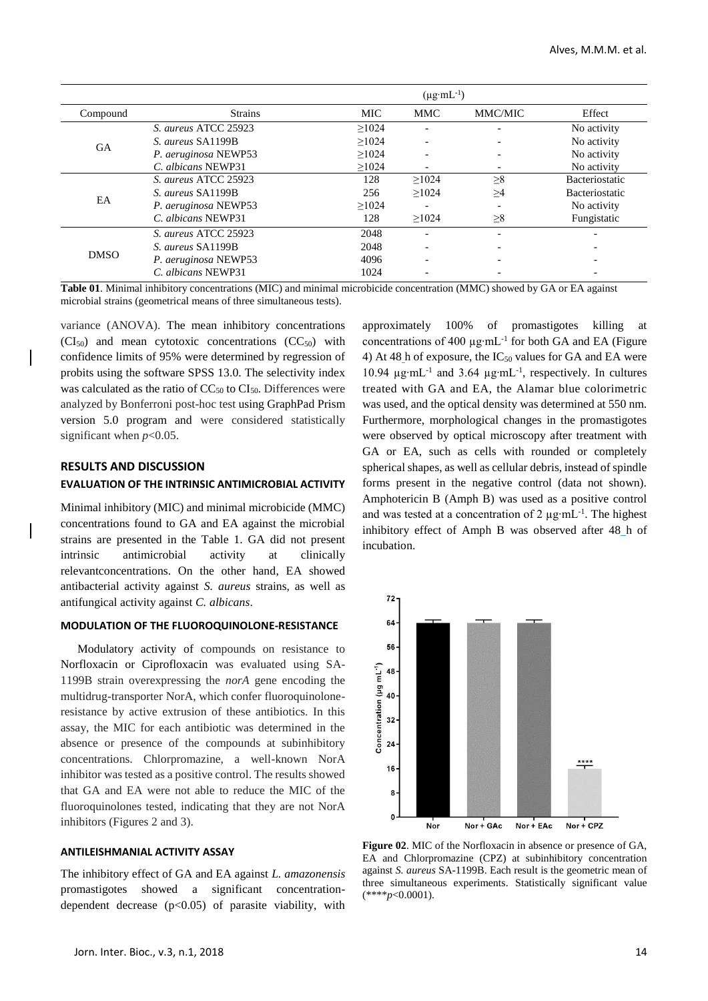|             |                      | $(\mu g \cdot mL^{-1})$ |                          |          |                       |
|-------------|----------------------|-------------------------|--------------------------|----------|-----------------------|
| Compound    | <b>Strains</b>       | <b>MIC</b>              | <b>MMC</b>               | MMC/MIC  | Effect                |
| <b>GA</b>   | S. aureus ATCC 25923 | >1024                   | $\overline{\phantom{0}}$ |          | No activity           |
|             | S. aureus SA1199B    | >1024                   |                          |          | No activity           |
|             | P. aeruginosa NEWP53 | >1024                   | $\overline{\phantom{0}}$ |          | No activity           |
|             | C. albicans NEWP31   | >1024                   |                          |          | No activity           |
| EA          | S. aureus ATCC 25923 | 128                     | >1024                    | $\geq 8$ | <b>Bacteriostatic</b> |
|             | S. aureus SA1199B    | 256                     | >1024                    | $\geq$ 4 | <b>Bacteriostatic</b> |
|             | P. aeruginosa NEWP53 | >1024                   | $\overline{\phantom{0}}$ |          | No activity           |
|             | C. albicans NEWP31   | 128                     | >1024                    | $\geq 8$ | Fungistatic           |
| <b>DMSO</b> | S. aureus ATCC 25923 | 2048                    |                          |          |                       |
|             | S. aureus SA1199B    | 2048                    |                          |          |                       |
|             | P. aeruginosa NEWP53 | 4096                    |                          |          |                       |
|             | C. albicans NEWP31   | 1024                    |                          |          |                       |

**Table 01**. Minimal inhibitory concentrations (MIC) and minimal microbicide concentration (MMC) showed by GA or EA against microbial strains (geometrical means of three simultaneous tests).

variance (ANOVA). The mean inhibitory concentrations  $(CI_{50})$  and mean cytotoxic concentrations  $(CC_{50})$  with confidence limits of 95% were determined by regression of probits using the software SPSS 13.0. The selectivity index was calculated as the ratio of  $CC_{50}$  to  $CI_{50}$ . Differences were analyzed by Bonferroni post-hoc test using GraphPad Prism version 5.0 program and were considered statistically significant when *p*<0.05.

### **RESULTS AND DISCUSSION**

## **EVALUATION OF THE INTRINSIC ANTIMICROBIAL ACTIVITY**

Minimal inhibitory (MIC) and minimal microbicide (MMC) concentrations found to GA and EA against the microbial strains are presented in the Table 1. GA did not present intrinsic antimicrobial activity at clinically relevantconcentrations. On the other hand, EA showed antibacterial activity against *S. aureus* strains, as well as antifungical activity against *C. albicans*.

## **MODULATION OF THE FLUOROQUINOLONE-RESISTANCE**

Modulatory activity of compounds on resistance to Norfloxacin or Ciprofloxacin was evaluated using SA-1199B strain overexpressing the *norA* gene encoding the multidrug-transporter NorA, which confer fluoroquinoloneresistance by active extrusion of these antibiotics. In this assay, the MIC for each antibiotic was determined in the absence or presence of the compounds at subinhibitory concentrations. Chlorpromazine, a well-known NorA inhibitor was tested as a positive control. The results showed that GA and EA were not able to reduce the MIC of the fluoroquinolones tested, indicating that they are not NorA inhibitors (Figures 2 and 3).

#### **ANTILEISHMANIAL ACTIVITY ASSAY**

The inhibitory effect of GA and EA against *L. amazonensis* promastigotes showed a significant concentrationdependent decrease (p<0.05) of parasite viability, with

concentrations of 400 µg∙mL-1 for both GA and EA (Figure 4) At 48 h of exposure, the  $IC_{50}$  values for GA and EA were 10.94 µg∙mL-1 and 3.64 µg∙mL-1 , respectively. In cultures treated with GA and EA, the Alamar blue colorimetric was used, and the optical density was determined at 550 nm. Furthermore, morphological changes in the promastigotes were observed by optical microscopy after treatment with GA or EA, such as cells with rounded or completely spherical shapes, as well as cellular debris, instead of spindle forms present in the negative control (data not shown). Amphotericin B (Amph B) was used as a positive control and was tested at a concentration of 2 µg⋅mL<sup>-1</sup>. The highest inhibitory effect of Amph B was observed after 48 h of incubation.

approximately 100% of promastigotes killing at



**Figure 02**. MIC of the Norfloxacin in absence or presence of GA, EA and Chlorpromazine (CPZ) at subinhibitory concentration against *S. aureus* SA-1199B. Each result is the geometric mean of three simultaneous experiments. Statistically significant value  $(****p<0.0001)$ .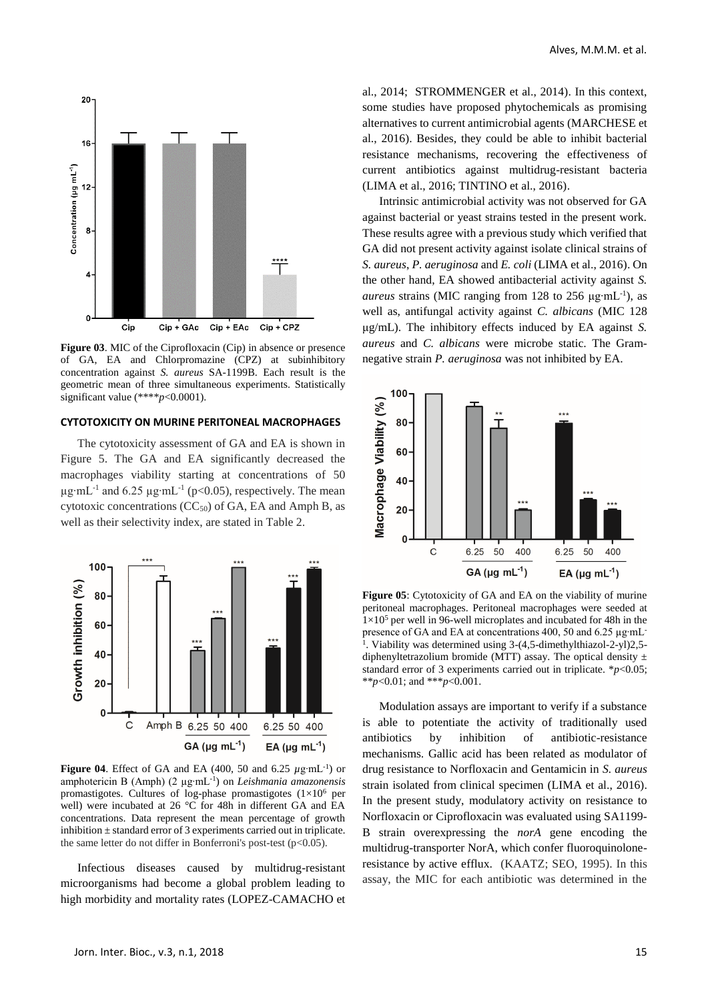

**Figure 03**. MIC of the Ciprofloxacin (Cip) in absence or presence of GA, EA and Chlorpromazine (CPZ) at subinhibitory concentration against *S. aureus* SA-1199B. Each result is the geometric mean of three simultaneous experiments. Statistically significant value (\*\*\*\**p*<0.0001).

## **CYTOTOXICITY ON MURINE PERITONEAL MACROPHAGES**

The cytotoxicity assessment of GA and EA is shown in Figure 5. The GA and EA significantly decreased the macrophages viability starting at concentrations of 50  $\mu$ g⋅mL<sup>-1</sup> and 6.25  $\mu$ g⋅mL<sup>-1</sup> (p<0.05), respectively. The mean cytotoxic concentrations  $(CC<sub>50</sub>)$  of GA, EA and Amph B, as well as their selectivity index, are stated in Table 2.



**Figure 04**. Effect of GA and EA (400, 50 and 6.25 *µ*g∙mL-1 ) or amphotericin B (Amph) (2 µg∙mL-1 ) on *Leishmania amazonensis*  promastigotes. Cultures of log-phase promastigotes  $(1\times10^6$  per well) were incubated at 26 °C for 48h in different GA and EA concentrations. Data represent the mean percentage of growth inhibition  $\pm$  standard error of 3 experiments carried out in triplicate. the same letter do not differ in Bonferroni's post-test (p<0.05).

Infectious diseases caused by multidrug-resistant microorganisms had become a global problem leading to high morbidity and mortality rates (LOPEZ-CAMACHO et al., 2014; STROMMENGER et al., 2014). In this context, some studies have proposed phytochemicals as promising alternatives to current antimicrobial agents (MARCHESE et al., 2016). Besides, they could be able to inhibit bacterial resistance mechanisms, recovering the effectiveness of current antibiotics against multidrug-resistant bacteria (LIMA et al., 2016; TINTINO et al., 2016).

Intrinsic antimicrobial activity was not observed for GA against bacterial or yeast strains tested in the present work. These results agree with a previous study which verified that GA did not present activity against isolate clinical strains of *S. aureus*, *P. aeruginosa* and *E. coli* (LIMA et al., 2016). On the other hand, EA showed antibacterial activity against *S. aureus* strains (MIC ranging from 128 to 256  $\mu$ g⋅mL<sup>-1</sup>), as well as, antifungal activity against *C. albicans* (MIC 128 μg/mL). The inhibitory effects induced by EA against *S. aureus* and *C. albicans* were microbe static. The Gramnegative strain *P. aeruginosa* was not inhibited by EA.



**Figure 05**: Cytotoxicity of GA and EA on the viability of murine peritoneal macrophages. Peritoneal macrophages were seeded at  $1\times10^5$  per well in 96-well microplates and incubated for 48h in the presence of GA and EA at concentrations 400, 50 and 6.25 µg∙mL-<sup>1</sup>. Viability was determined using 3-(4,5-dimethylthiazol-2-yl)2,5diphenyltetrazolium bromide (MTT) assay. The optical density  $\pm$ standard error of 3 experiments carried out in triplicate. \**p*<0.05; \*\**p*<0.01; and \*\*\**p*<0.001.

Modulation assays are important to verify if a substance is able to potentiate the activity of traditionally used antibiotics by inhibition of antibiotic-resistance mechanisms. Gallic acid has been related as modulator of drug resistance to Norfloxacin and Gentamicin in *S. aureus*  strain isolated from clinical specimen (LIMA et al., 2016). In the present study, modulatory activity on resistance to Norfloxacin or Ciprofloxacin was evaluated using SA1199- B strain overexpressing the *norA* gene encoding the multidrug-transporter NorA, which confer fluoroquinoloneresistance by active efflux. (KAATZ; SEO, 1995). In this assay, the MIC for each antibiotic was determined in the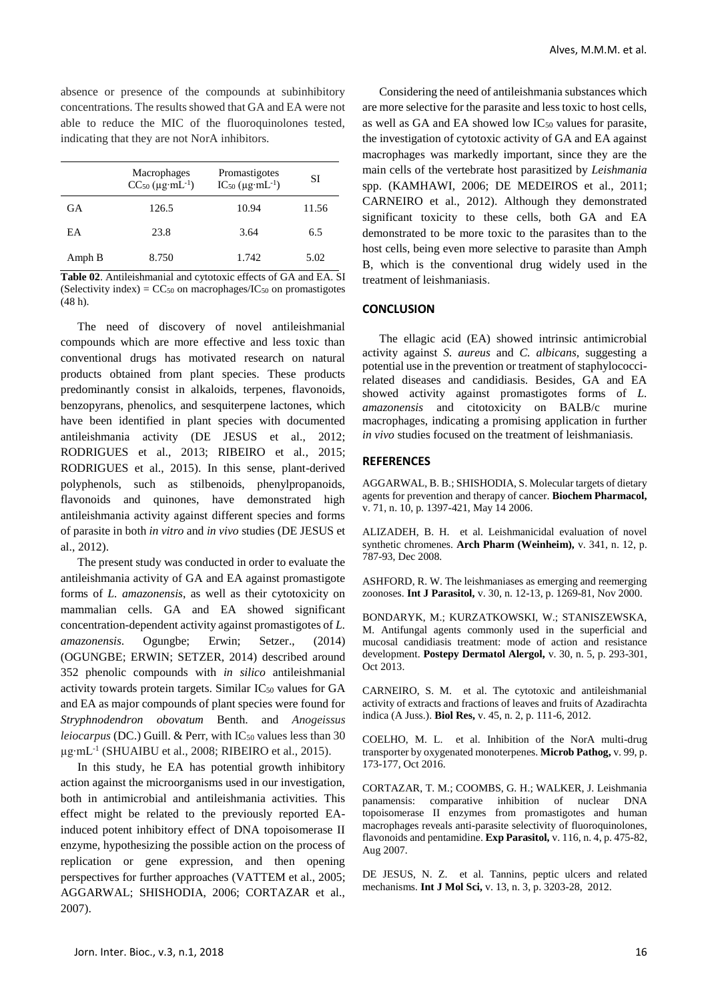absence or presence of the compounds at subinhibitory concentrations. The results showed that GA and EA were not able to reduce the MIC of the fluoroquinolones tested, indicating that they are not NorA inhibitors.

|        | Macrophages<br>$CC_{50} (\mu g \cdot mL^{-1})$ | Promastigotes<br>$IC_{50} (\mu g \cdot mL^{-1})$ | SІ    |
|--------|------------------------------------------------|--------------------------------------------------|-------|
| GA     | 126.5                                          | 10.94                                            | 11.56 |
| EA     | 23.8                                           | 3.64                                             | 6.5   |
| Amph B | 8.750                                          | 1.742                                            | 5.02  |

**Table 02**. Antileishmanial and cytotoxic effects of GA and EA. SI (Selectivity index) =  $CC_{50}$  on macrophages/IC<sub>50</sub> on promastigotes (48 h).

The need of discovery of novel antileishmanial compounds which are more effective and less toxic than conventional drugs has motivated research on natural products obtained from plant species. These products predominantly consist in alkaloids, terpenes, flavonoids, benzopyrans, phenolics, and sesquiterpene lactones, which have been identified in plant species with documented antileishmania activity (DE JESUS et al., 2012; RODRIGUES et al., 2013; RIBEIRO et al., 2015; RODRIGUES et al., 2015). In this sense, plant-derived polyphenols, such as stilbenoids, phenylpropanoids, flavonoids and quinones, have demonstrated high antileishmania activity against different species and forms of parasite in both *in vitro* and *in vivo* studies (DE JESUS et al., 2012).

The present study was conducted in order to evaluate the antileishmania activity of GA and EA against promastigote forms of *L. amazonensis*, as well as their cytotoxicity on mammalian cells. GA and EA showed significant concentration-dependent activity against promastigotes of *L. amazonensis*. Ogungbe; Erwin; Setzer., (2014) (OGUNGBE; ERWIN; SETZER, 2014) described around 352 phenolic compounds with *in silico* antileishmanial activity towards protein targets. Similar  $IC_{50}$  values for  $GA$ and EA as major compounds of plant species were found for *Stryphnodendron obovatum* Benth. and *Anogeissus leiocarpus* (DC.) Guill. & Perr, with  $IC_{50}$  values less than 30 µg⋅mL<sup>-1</sup> (SHUAIBU et al., 2008; RIBEIRO et al., 2015).

In this study, he EA has potential growth inhibitory action against the microorganisms used in our investigation, both in antimicrobial and antileishmania activities. This effect might be related to the previously reported EAinduced potent inhibitory effect of DNA topoisomerase II enzyme, hypothesizing the possible action on the process of replication or gene expression, and then opening perspectives for further approaches (VATTEM et al., 2005; AGGARWAL; SHISHODIA, 2006; CORTAZAR et al., 2007).

Considering the need of antileishmania substances which are more selective for the parasite and less toxic to host cells, as well as GA and EA showed low  $IC_{50}$  values for parasite, the investigation of cytotoxic activity of GA and EA against macrophages was markedly important, since they are the main cells of the vertebrate host parasitized by *Leishmania*  spp. (KAMHAWI, 2006; DE MEDEIROS et al., 2011; CARNEIRO et al., 2012). Although they demonstrated significant toxicity to these cells, both GA and EA demonstrated to be more toxic to the parasites than to the host cells, being even more selective to parasite than Amph B, which is the conventional drug widely used in the treatment of leishmaniasis.

## **CONCLUSION**

The ellagic acid (EA) showed intrinsic antimicrobial activity against *S. aureus* and *C. albicans,* suggesting a potential use in the prevention or treatment of staphylococcirelated diseases and candidiasis. Besides, GA and EA showed activity against promastigotes forms of *L. amazonensis* and citotoxicity on BALB/c murine macrophages, indicating a promising application in further *in vivo* studies focused on the treatment of leishmaniasis.

## **REFERENCES**

AGGARWAL, B. B.; SHISHODIA, S. Molecular targets of dietary agents for prevention and therapy of cancer. **Biochem Pharmacol,**  v. 71, n. 10, p. 1397-421, May 14 2006.

ALIZADEH, B. H. et al. Leishmanicidal evaluation of novel synthetic chromenes. **Arch Pharm (Weinheim),** v. 341, n. 12, p. 787-93, Dec 2008.

ASHFORD, R. W. The leishmaniases as emerging and reemerging zoonoses. **Int J Parasitol,** v. 30, n. 12-13, p. 1269-81, Nov 2000.

BONDARYK, M.; KURZATKOWSKI, W.; STANISZEWSKA, M. Antifungal agents commonly used in the superficial and mucosal candidiasis treatment: mode of action and resistance development. **Postepy Dermatol Alergol,** v. 30, n. 5, p. 293-301, Oct 2013.

CARNEIRO, S. M. et al. The cytotoxic and antileishmanial activity of extracts and fractions of leaves and fruits of Azadirachta indica (A Juss.). **Biol Res,** v. 45, n. 2, p. 111-6, 2012.

COELHO, M. L. et al. Inhibition of the NorA multi-drug transporter by oxygenated monoterpenes. **Microb Pathog,** v. 99, p. 173-177, Oct 2016.

CORTAZAR, T. M.; COOMBS, G. H.; WALKER, J. Leishmania panamensis: comparative inhibition of nuclear DNA topoisomerase II enzymes from promastigotes and human macrophages reveals anti-parasite selectivity of fluoroquinolones, flavonoids and pentamidine. **Exp Parasitol,** v. 116, n. 4, p. 475-82, Aug 2007.

DE JESUS, N. Z. et al. Tannins, peptic ulcers and related mechanisms. **Int J Mol Sci,** v. 13, n. 3, p. 3203-28, 2012.